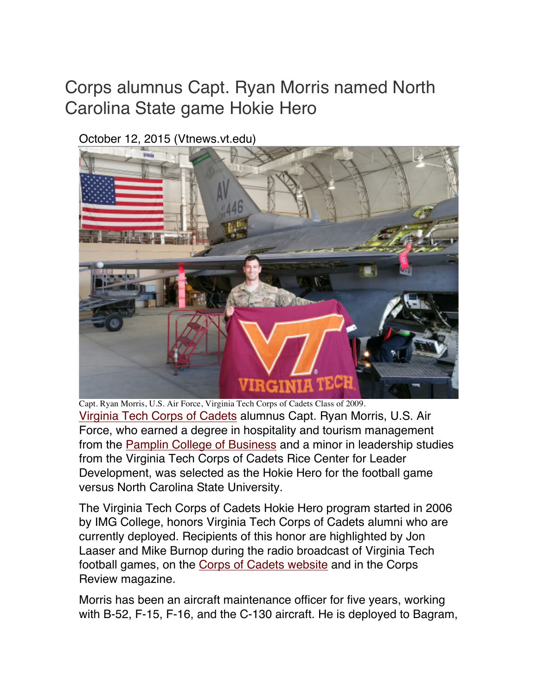## Corps alumnus Capt. Ryan Morris named North Carolina State game Hokie Hero

October 12, 2015 (Vtnews.vt.edu)



Capt. Ryan Morris, U.S. Air Force, Virginia Tech Corps of Cadets Class of 2009. Virginia Tech Corps of Cadets alumnus Capt. Ryan Morris, U.S. Air Force, who earned a degree in hospitality and tourism management from the Pamplin College of Business and a minor in leadership studies from the Virginia Tech Corps of Cadets Rice Center for Leader Development, was selected as the Hokie Hero for the football game versus North Carolina State University.

The Virginia Tech Corps of Cadets Hokie Hero program started in 2006 by IMG College, honors Virginia Tech Corps of Cadets alumni who are currently deployed. Recipients of this honor are highlighted by Jon Laaser and Mike Burnop during the radio broadcast of Virginia Tech football games, on the Corps of Cadets website and in the Corps Review magazine.

Morris has been an aircraft maintenance officer for five years, working with B-52, F-15, F-16, and the C-130 aircraft. He is deployed to Bagram,